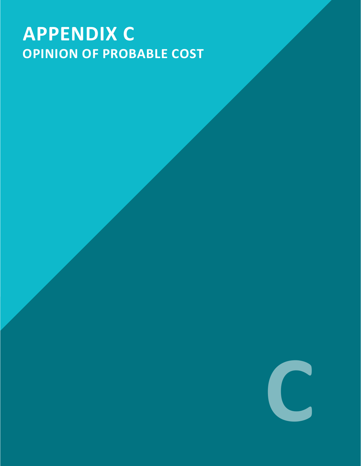# **APPENDIX C OPINION OF PROBABLE COST**

**C**

**East Dell Range Boulevard / US 30**

CORRIDOR STUDY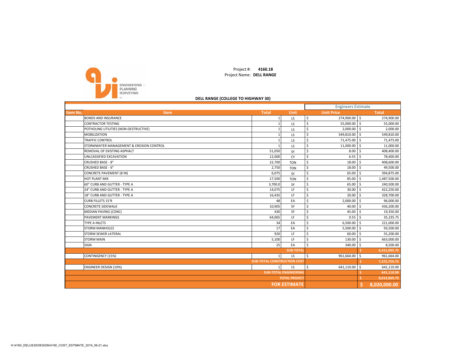

Project #: **4160.18** Project Name: **DELL RANGE**

#### **DELL RANGE (COLLEGE TO HIGHWAY 30)**

|          |                                         |                                    |                  |                     | <b>Engineers Estimate</b> |    |              |  |
|----------|-----------------------------------------|------------------------------------|------------------|---------------------|---------------------------|----|--------------|--|
| Item No. | Item                                    | <b>Total</b>                       | Unit             |                     | <b>Unit Price</b>         |    | <b>Total</b> |  |
|          | <b>BONDS AND INSURANCE</b>              |                                    | LS               | \$                  | 274,900.00 \$             |    | 274,900.00   |  |
|          | <b>CONTRACTOR TESTING</b>               |                                    | LS               | \$                  | 55,000.00                 | Ŝ. | 55,000.00    |  |
|          | POTHOLING UTILITIES (NON-DESTRUCTIVE)   |                                    | LS               | \$                  | 2,000.00                  | Ŝ. | 2,000.00     |  |
|          | <b>MOBILIZATION</b>                     |                                    | LS               | $\ddot{\mathsf{s}}$ | 549,810.00                | Ś. | 549,810.00   |  |
|          | <b>TRAFFIC CONTROL</b>                  |                                    | LS               | \$                  | 71,475.00 \$              |    | 71,475.00    |  |
|          | STORMWATER MANAGEMENT & EROSION CONTROL |                                    | LS               | \$                  | 11,000.00                 | Ŝ. | 11,000.00    |  |
|          | REMOVAL OF EXISTING ASPHALT             | 51,050                             | SY               | \$                  | 8.00                      | -S | 408,400.00   |  |
|          | UNLCASSIFIED EXCAVATION                 | 12,000                             | CY               | \$                  | 6.55                      |    | 78,600.00    |  |
|          | <b>CRUSHED BASE - 8"</b>                | 22,700                             | <b>TON</b>       | \$                  | 18.00                     | Ŝ. | 408,600.00   |  |
|          | CRUSHED BASE - 6"                       | 2,750                              | <b>TON</b>       | \$                  | 18.00                     | Ŝ. | 49,500.00    |  |
|          | <b>CONCRETE PAVEMENT (8 IN)</b>         | 6,075                              | SY               | \$                  | 65.00                     |    | 394,875.00   |  |
|          | <b>HOT PLANT MIX</b>                    | 17,500                             | <b>TON</b>       | \$                  | 85.00                     | Ś, | 1,487,500.00 |  |
|          | 60" CURB AND GUTTER - TYPE A            | 3,700.0                            | SY               | \$                  | 65.00                     | Ŝ. | 240,500.00   |  |
|          | 24" CURB AND GUTTER - TYPE A            | 14,075                             | LF               | \$                  | 30.00                     | Ŝ. | 422,250.00   |  |
|          | 18" CURB AND GUTTER - TYPE A            | 16,435                             | LF               | \$                  | 20.00                     | Ŝ. | 328,700.00   |  |
|          | <b>CURB FILLETS 15'R</b>                | 48                                 | EA               | \$                  | 2,000.00                  | -Ś | 96,000.00    |  |
|          | <b>CONCRETE SIDEWALK</b>                | 10,905                             | SY               | \$                  | 40.00                     |    | 436,200.00   |  |
|          | MEDIAN PAVING (CONC)                    | 430                                | <b>SY</b>        | \$                  | 45.00                     | Ŝ. | 19,350.00    |  |
|          | <b>PAVEMENT MARKINGS</b>                | 64,065                             | LF               | \$                  | 0.55                      | .S | 35,235.75    |  |
|          | <b>TYPE A INLETS</b>                    | 34                                 | EA               | \$                  | 6,500.00                  |    | 221,000.00   |  |
|          | <b>STORM MANHOLES</b>                   | 17                                 | EA               | Ś                   | 5,500.00                  | -Ś | 93,500.00    |  |
|          | <b>STORM SEWER LATERAL</b>              | 920                                | LF               | \$                  | 60.00                     | Ŝ. | 55,200.00    |  |
|          | <b>STORM MAIN</b>                       | 5,100                              | LF               | \$                  | 130.00                    | Ŝ. | 663,000.00   |  |
|          | SIGN                                    | 25                                 | EA               | Ś                   | 340.00                    |    | 8,500.00     |  |
|          |                                         |                                    | <b>SUB-TOTAL</b> |                     |                           |    | 6,411,095.75 |  |
|          | <b>CONTINGENCY (15%)</b>                |                                    | LS               | \$                  | 961,664.00                | Ś, | 961,664.00   |  |
|          |                                         | <b>SUB-TOTAL CONSTRUCTION COST</b> |                  |                     |                           |    | 7,372,759.75 |  |
|          | <b>ENGINEER DESIGN (10%)</b>            |                                    | LS               | \$                  | 641,110.00                | Ŝ. | 641,110.00   |  |
|          | <b>SUB-TOTAL ENGINEERING</b>            |                                    |                  |                     |                           |    | 641,110.00   |  |
|          | <b>TOTAL PROJECT</b>                    |                                    |                  |                     |                           | Ś  | 8,013,869.75 |  |
|          | <b>FOR ESTIMATE</b>                     |                                    |                  |                     |                           | Ś  | 8,020,000.00 |  |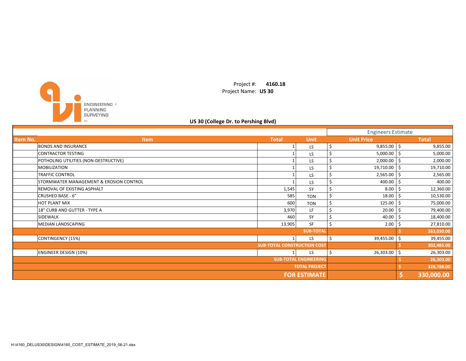

Project #: **4160.18** Project Name: **US 30**

## **US 30 (College Dr. to Pershing Blvd)**

|                     |                                         |                                    |                      | <b>Engineers Estimate</b> |                   |    |              |
|---------------------|-----------------------------------------|------------------------------------|----------------------|---------------------------|-------------------|----|--------------|
| <b>Item No.</b>     | <b>Item</b>                             | <b>Total</b>                       | <b>Unit</b>          |                           | <b>Unit Price</b> |    | <b>Total</b> |
|                     | <b>BONDS AND INSURANCE</b>              |                                    | <b>LS</b>            | \$                        | $9,855.00$ \$     |    | 9,855.00     |
|                     | <b>CONTRACTOR TESTING</b>               |                                    | LS.                  | Ś                         | 5,000.00          | S. | 5,000.00     |
|                     | POTHOLING UTILITIES (NON-DESTRUCTIVE)   |                                    | LS.                  | \$                        | 2,000.00          |    | 2,000.00     |
|                     | <b>MOBILIZATION</b>                     |                                    | LS                   | \$                        | 19,710.00         | -S | 19,710.00    |
|                     | <b>TRAFFIC CONTROL</b>                  |                                    | LS.                  | \$                        | 2,565.00          |    | 2,565.00     |
|                     | STORMWATER MANAGEMENT & EROSION CONTROL |                                    | LS                   |                           | 400.00            |    | 400.00       |
|                     | REMOVAL OF EXISTING ASPHALT             | 1,545                              | <b>SY</b>            | \$                        | 8.00              |    | 12,360.00    |
|                     | CRUSHED BASE - 6"                       | 585                                | <b>TON</b>           | \$                        | 18.00             |    | 10,530.00    |
|                     | <b>HOT PLANT MIX</b>                    | 600                                | <b>TON</b>           | \$                        | 125.00            |    | 75,000.00    |
|                     | 18" CURB AND GUTTER - TYPE A            | 3,970                              | LF.                  | \$                        | 20.00             |    | 79,400.00    |
|                     | SIDEWALK                                | 460                                | SY                   | \$                        | 40.00             |    | 18,400.00    |
|                     | MEDIAN LANDSCAPING                      | 13,905                             | <b>SF</b>            | Ś                         | 2.00              |    | 27,810.00    |
|                     |                                         |                                    | <b>SUB-TOTAL</b>     |                           |                   |    | 263,030.00   |
|                     | CONTINGENCY (15%)                       |                                    | LS.                  | Ś                         | 39,455.00         | S. | 39,455.00    |
|                     |                                         | <b>SUB-TOTAL CONSTRUCTION COST</b> |                      |                           |                   |    | 302,485.00   |
|                     | <b>ENGINEER DESIGN (10%)</b>            |                                    | LS                   | Ś                         | 26,303.00         | Ŝ  | 26,303.00    |
|                     | <b>SUB-TOTAL ENGINEERING</b>            |                                    |                      |                           |                   |    | 26,303.00    |
|                     |                                         |                                    | <b>TOTAL PROJECT</b> |                           |                   |    | 328,788.00   |
| <b>FOR ESTIMATE</b> |                                         |                                    |                      |                           |                   |    | 330,000.00   |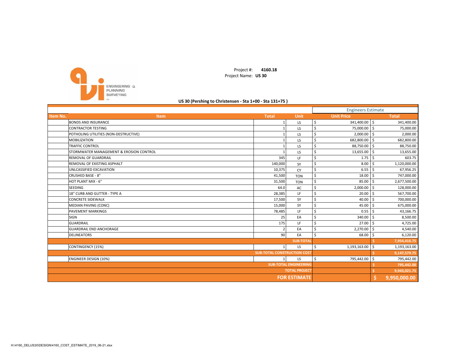

Project #: **4160.18** Project Name: **US 30**

#### **US 30 (Pershing to Christensen ‐ Sta 1+00 ‐ Sta 131+75 )**

|                                                    |                                    |                  |    | <b>Engineers Estimate</b> |    |              |
|----------------------------------------------------|------------------------------------|------------------|----|---------------------------|----|--------------|
| Item No.<br>Item                                   | <b>Total</b>                       | <b>Unit</b>      |    | <b>Unit Price</b>         |    | <b>Total</b> |
| <b>BONDS AND INSURANCE</b>                         |                                    | LS               | \$ | 341,400.00 \$             |    | 341,400.00   |
| <b>CONTRACTOR TESTING</b>                          |                                    | LS               | Ś  | 75,000.00                 | Ś. | 75,000.00    |
| POTHOLING UTILITIES (NON-DESTRUCTIVE)              |                                    | LS               | Ś  | 2,000.00                  | \$ | 2,000.00     |
| <b>MOBILIZATION</b>                                |                                    | LS               | Ś  | 682,800.00                | Ś. | 682,800.00   |
| <b>TRAFFIC CONTROL</b>                             |                                    | LS               | Ś  | 88,750.00                 | \$ | 88,750.00    |
| <b>STORMWATER MANAGEMENT &amp; EROSION CONTROL</b> |                                    | LS               | Ś  | 13,655.00                 | Ś  | 13,655.00    |
| <b>REMOVAL OF GUARDRAIL</b>                        | 345                                | LF               | Ś  | 1.75                      | \$ | 603.75       |
| REMOVAL OF EXISTING ASPHALT                        | 140,000                            | SY               | Ś  | 8.00                      | Ś. | 1,120,000.00 |
| UNLCASSIFIED EXCAVATION                            | 10,375                             | CY               | Ś  | 6.55                      | ς. | 67,956.25    |
| <b>CRUSHED BASE - 8"</b>                           | 41,500                             | <b>TON</b>       | Ś  | 18.00                     | Ś. | 747,000.00   |
| HOT PLANT MIX - 6"                                 | 31,500                             | <b>TON</b>       | Ś  | 85.00                     | ς. | 2,677,500.00 |
| <b>SEEDING</b>                                     | 64.0                               | AC               | Ś  | $2,000.00$ \$             |    | 128,000.00   |
| 18" CURB AND GUTTER - TYPE A                       | 28,385                             | LF               | Ś  | 20.00                     | \$ | 567,700.00   |
| <b>CONCRETE SIDEWALK</b>                           | 17,500                             | SY               | Ś  | 40.00                     | Ŝ. | 700,000.00   |
| MEDIAN PAVING (CONC)                               | 15,000                             | SY               | Ś  | 45.00                     | \$ | 675,000.00   |
| <b>PAVEMENT MARKINGS</b>                           | 78,485                             | LF               | Ś  | 0.55                      | ς. | 43,166.75    |
| SIGN                                               | 25                                 | EA               | Ś  | 340.00                    | \$ | 8,500.00     |
| <b>GUARDRAIL</b>                                   | 175                                | LF               | Ś  | 27.00                     |    | 4,725.00     |
| <b>GUARDRAIL END ANCHORAGE</b>                     | $\overline{2}$                     | EA               | Š. | 2,270.00                  | <  | 4,540.00     |
| <b>DELINEATORS</b>                                 | 90                                 | EA               | Ś  | 68.00                     |    | 6,120.00     |
|                                                    |                                    | <b>SUB-TOTAI</b> |    |                           |    | 7,954,416.75 |
| <b>CONTINGENCY (15%)</b>                           | $\mathbf{1}$                       | LS               | Ŝ. | 1,193,163.00              | \$ | 1,193,163.00 |
|                                                    | <b>SUB-TOTAL CONSTRUCTION COST</b> |                  |    |                           |    | 9,147,579.75 |
| <b>ENGINEER DESIGN (10%)</b>                       | $\mathbf{1}$                       | LS               | Ŝ. | 795,442.00                | ς. | 795,442.00   |
| <b>SUB-TOTAL ENGINEERING</b>                       |                                    |                  |    |                           |    | 795,442.00   |
| <b>TOTAL PROJECT</b>                               |                                    |                  |    |                           |    | 9,943,021.75 |
| <b>FOR ESTIMATE</b>                                |                                    |                  |    |                           |    | 9,950,000.00 |